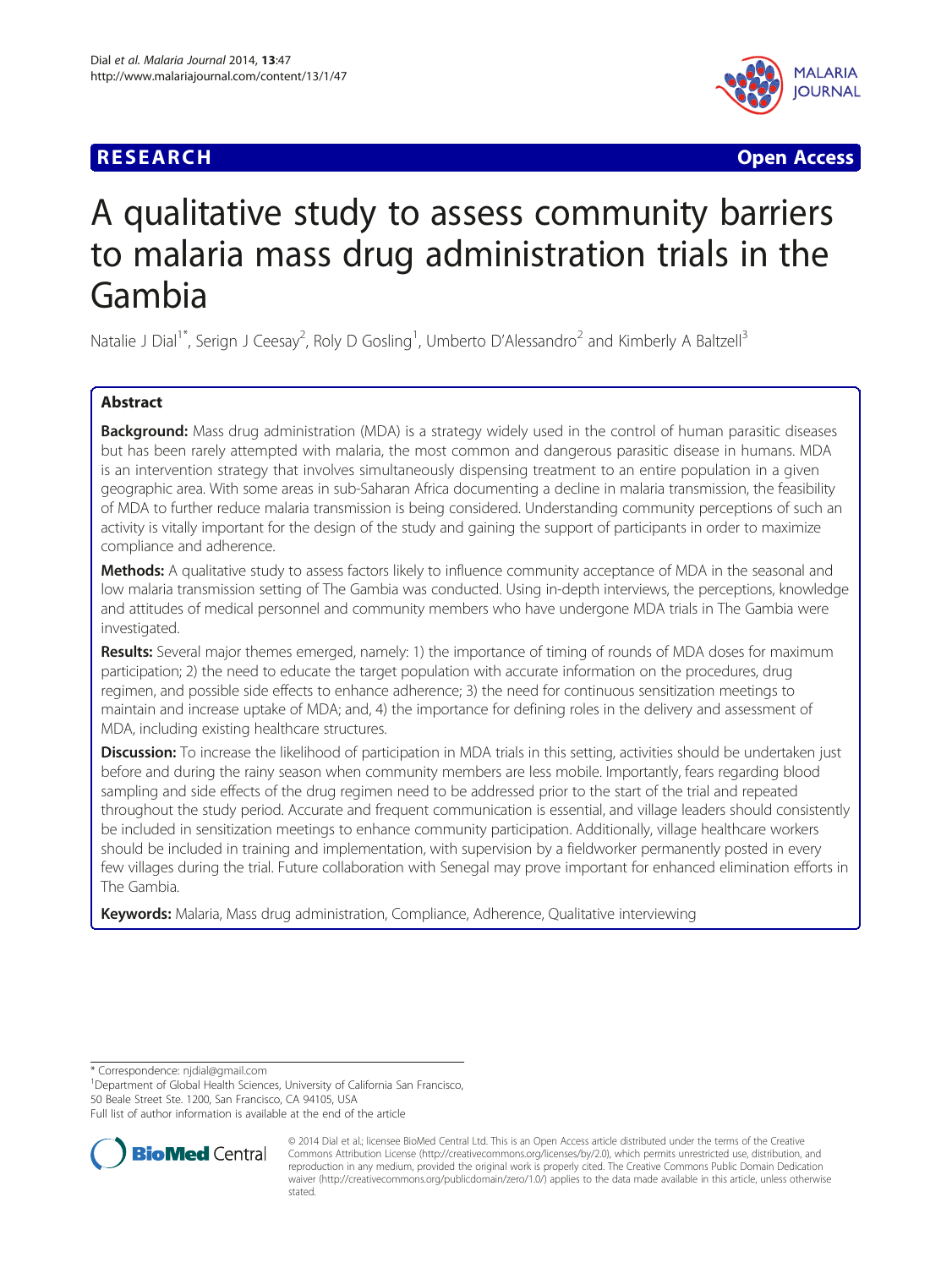## **RESEARCH CHE CHE Open Access**



# A qualitative study to assess community barriers to malaria mass drug administration trials in the Gambia

Natalie J Dial<sup>1\*</sup>, Serign J Ceesay<sup>2</sup>, Roly D Gosling<sup>1</sup>, Umberto D'Alessandro<sup>2</sup> and Kimberly A Baltzell<sup>3</sup>

## Abstract

Background: Mass drug administration (MDA) is a strategy widely used in the control of human parasitic diseases but has been rarely attempted with malaria, the most common and dangerous parasitic disease in humans. MDA is an intervention strategy that involves simultaneously dispensing treatment to an entire population in a given geographic area. With some areas in sub-Saharan Africa documenting a decline in malaria transmission, the feasibility of MDA to further reduce malaria transmission is being considered. Understanding community perceptions of such an activity is vitally important for the design of the study and gaining the support of participants in order to maximize compliance and adherence.

Methods: A qualitative study to assess factors likely to influence community acceptance of MDA in the seasonal and low malaria transmission setting of The Gambia was conducted. Using in-depth interviews, the perceptions, knowledge and attitudes of medical personnel and community members who have undergone MDA trials in The Gambia were investigated.

Results: Several major themes emerged, namely: 1) the importance of timing of rounds of MDA doses for maximum participation; 2) the need to educate the target population with accurate information on the procedures, drug regimen, and possible side effects to enhance adherence; 3) the need for continuous sensitization meetings to maintain and increase uptake of MDA; and, 4) the importance for defining roles in the delivery and assessment of MDA, including existing healthcare structures.

**Discussion:** To increase the likelihood of participation in MDA trials in this setting, activities should be undertaken just before and during the rainy season when community members are less mobile. Importantly, fears regarding blood sampling and side effects of the drug regimen need to be addressed prior to the start of the trial and repeated throughout the study period. Accurate and frequent communication is essential, and village leaders should consistently be included in sensitization meetings to enhance community participation. Additionally, village healthcare workers should be included in training and implementation, with supervision by a fieldworker permanently posted in every few villages during the trial. Future collaboration with Senegal may prove important for enhanced elimination efforts in The Gambia.

Keywords: Malaria, Mass drug administration, Compliance, Adherence, Qualitative interviewing

\* Correspondence: [njdial@gmail.com](mailto:njdial@gmail.com) <sup>1</sup>

<sup>1</sup>Department of Global Health Sciences, University of California San Francisco,

50 Beale Street Ste. 1200, San Francisco, CA 94105, USA

Full list of author information is available at the end of the article



<sup>© 2014</sup> Dial et al.; licensee BioMed Central Ltd. This is an Open Access article distributed under the terms of the Creative Commons Attribution License [\(http://creativecommons.org/licenses/by/2.0\)](http://creativecommons.org/licenses/by/2.0), which permits unrestricted use, distribution, and reproduction in any medium, provided the original work is properly cited. The Creative Commons Public Domain Dedication waiver [\(http://creativecommons.org/publicdomain/zero/1.0/\)](http://creativecommons.org/publicdomain/zero/1.0/) applies to the data made available in this article, unless otherwise stated.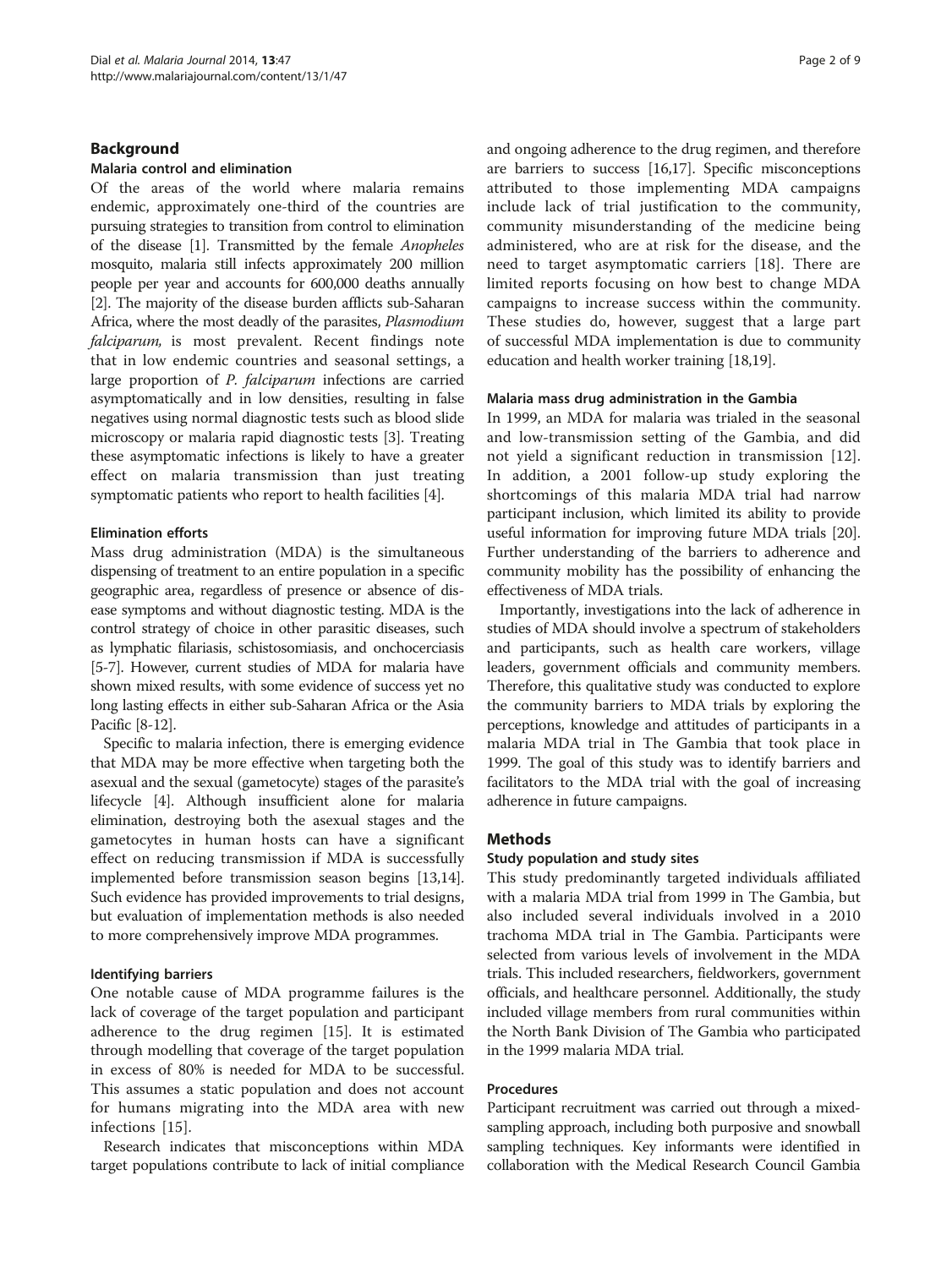#### Background

#### Malaria control and elimination

Of the areas of the world where malaria remains endemic, approximately one-third of the countries are pursuing strategies to transition from control to elimination of the disease [\[1](#page-8-0)]. Transmitted by the female Anopheles mosquito, malaria still infects approximately 200 million people per year and accounts for 600,000 deaths annually [[2](#page-8-0)]. The majority of the disease burden afflicts sub-Saharan Africa, where the most deadly of the parasites, Plasmodium falciparum, is most prevalent. Recent findings note that in low endemic countries and seasonal settings, a large proportion of P. falciparum infections are carried asymptomatically and in low densities, resulting in false negatives using normal diagnostic tests such as blood slide microscopy or malaria rapid diagnostic tests [\[3\]](#page-8-0). Treating these asymptomatic infections is likely to have a greater effect on malaria transmission than just treating symptomatic patients who report to health facilities [\[4](#page-8-0)].

#### Elimination efforts

Mass drug administration (MDA) is the simultaneous dispensing of treatment to an entire population in a specific geographic area, regardless of presence or absence of disease symptoms and without diagnostic testing. MDA is the control strategy of choice in other parasitic diseases, such as lymphatic filariasis, schistosomiasis, and onchocerciasis [[5](#page-8-0)-[7\]](#page-8-0). However, current studies of MDA for malaria have shown mixed results, with some evidence of success yet no long lasting effects in either sub-Saharan Africa or the Asia Pacific [[8](#page-8-0)-[12](#page-8-0)].

Specific to malaria infection, there is emerging evidence that MDA may be more effective when targeting both the asexual and the sexual (gametocyte) stages of the parasite's lifecycle [\[4\]](#page-8-0). Although insufficient alone for malaria elimination, destroying both the asexual stages and the gametocytes in human hosts can have a significant effect on reducing transmission if MDA is successfully implemented before transmission season begins [\[13,14](#page-8-0)]. Such evidence has provided improvements to trial designs, but evaluation of implementation methods is also needed to more comprehensively improve MDA programmes.

#### Identifying barriers

One notable cause of MDA programme failures is the lack of coverage of the target population and participant adherence to the drug regimen [\[15\]](#page-8-0). It is estimated through modelling that coverage of the target population in excess of 80% is needed for MDA to be successful. This assumes a static population and does not account for humans migrating into the MDA area with new infections [[15\]](#page-8-0).

Research indicates that misconceptions within MDA target populations contribute to lack of initial compliance and ongoing adherence to the drug regimen, and therefore are barriers to success [[16,17\]](#page-8-0). Specific misconceptions attributed to those implementing MDA campaigns include lack of trial justification to the community, community misunderstanding of the medicine being administered, who are at risk for the disease, and the need to target asymptomatic carriers [\[18](#page-8-0)]. There are limited reports focusing on how best to change MDA campaigns to increase success within the community. These studies do, however, suggest that a large part of successful MDA implementation is due to community education and health worker training [[18,19](#page-8-0)].

#### Malaria mass drug administration in the Gambia

In 1999, an MDA for malaria was trialed in the seasonal and low-transmission setting of the Gambia, and did not yield a significant reduction in transmission [\[12](#page-8-0)]. In addition, a 2001 follow-up study exploring the shortcomings of this malaria MDA trial had narrow participant inclusion, which limited its ability to provide useful information for improving future MDA trials [[20](#page-8-0)]. Further understanding of the barriers to adherence and community mobility has the possibility of enhancing the effectiveness of MDA trials.

Importantly, investigations into the lack of adherence in studies of MDA should involve a spectrum of stakeholders and participants, such as health care workers, village leaders, government officials and community members. Therefore, this qualitative study was conducted to explore the community barriers to MDA trials by exploring the perceptions, knowledge and attitudes of participants in a malaria MDA trial in The Gambia that took place in 1999. The goal of this study was to identify barriers and facilitators to the MDA trial with the goal of increasing adherence in future campaigns.

#### Methods

#### Study population and study sites

This study predominantly targeted individuals affiliated with a malaria MDA trial from 1999 in The Gambia, but also included several individuals involved in a 2010 trachoma MDA trial in The Gambia. Participants were selected from various levels of involvement in the MDA trials. This included researchers, fieldworkers, government officials, and healthcare personnel. Additionally, the study included village members from rural communities within the North Bank Division of The Gambia who participated in the 1999 malaria MDA trial.

#### Procedures

Participant recruitment was carried out through a mixedsampling approach, including both purposive and snowball sampling techniques. Key informants were identified in collaboration with the Medical Research Council Gambia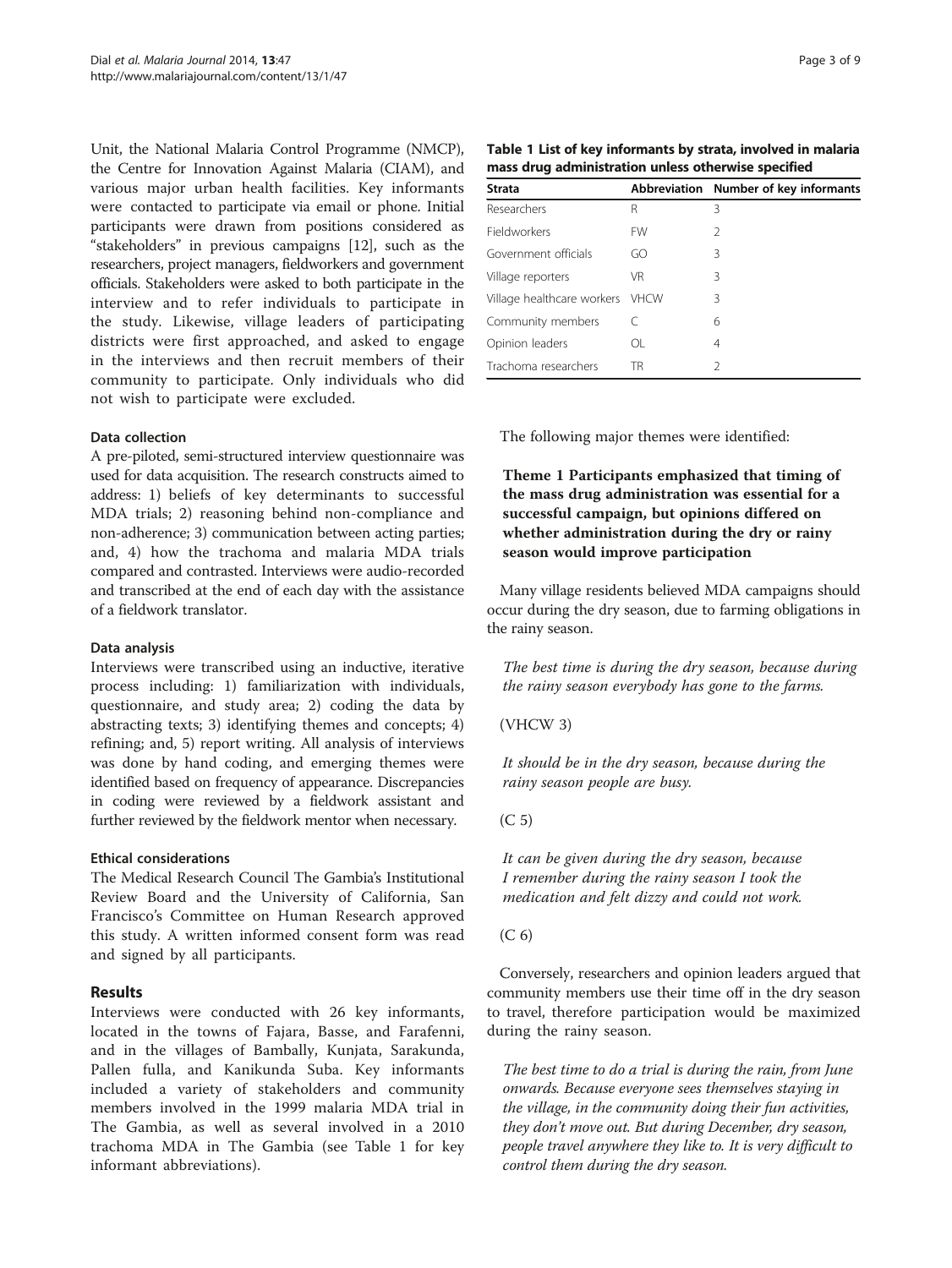Unit, the National Malaria Control Programme (NMCP), the Centre for Innovation Against Malaria (CIAM), and various major urban health facilities. Key informants were contacted to participate via email or phone. Initial participants were drawn from positions considered as "stakeholders" in previous campaigns [\[12\]](#page-8-0), such as the researchers, project managers, fieldworkers and government officials. Stakeholders were asked to both participate in the interview and to refer individuals to participate in the study. Likewise, village leaders of participating districts were first approached, and asked to engage in the interviews and then recruit members of their community to participate. Only individuals who did not wish to participate were excluded.

#### Data collection

A pre-piloted, semi-structured interview questionnaire was used for data acquisition. The research constructs aimed to address: 1) beliefs of key determinants to successful MDA trials; 2) reasoning behind non-compliance and non-adherence; 3) communication between acting parties; and, 4) how the trachoma and malaria MDA trials compared and contrasted. Interviews were audio-recorded and transcribed at the end of each day with the assistance of a fieldwork translator.

#### Data analysis

Interviews were transcribed using an inductive, iterative process including: 1) familiarization with individuals, questionnaire, and study area; 2) coding the data by abstracting texts; 3) identifying themes and concepts; 4) refining; and, 5) report writing. All analysis of interviews was done by hand coding, and emerging themes were identified based on frequency of appearance. Discrepancies in coding were reviewed by a fieldwork assistant and further reviewed by the fieldwork mentor when necessary.

#### Ethical considerations

The Medical Research Council The Gambia's Institutional Review Board and the University of California, San Francisco's Committee on Human Research approved this study. A written informed consent form was read and signed by all participants.

#### Results

Interviews were conducted with 26 key informants, located in the towns of Fajara, Basse, and Farafenni, and in the villages of Bambally, Kunjata, Sarakunda, Pallen fulla, and Kanikunda Suba. Key informants included a variety of stakeholders and community members involved in the 1999 malaria MDA trial in The Gambia, as well as several involved in a 2010 trachoma MDA in The Gambia (see Table 1 for key informant abbreviations).

| Table 1 List of key informants by strata, involved in malaria |  |
|---------------------------------------------------------------|--|
| mass drug administration unless otherwise specified           |  |

| <b>Strata</b>                   |           | Abbreviation Number of key informants |
|---------------------------------|-----------|---------------------------------------|
| Researchers                     | R         | 3                                     |
| <b>Fieldworkers</b>             | <b>FW</b> | $\mathcal{P}$                         |
| Government officials            | GO        | 3                                     |
| Village reporters               | <b>VR</b> | 3                                     |
| Village healthcare workers VHCW |           | 3                                     |
| Community members               | С         | 6                                     |
| Opinion leaders                 | OL.       | 4                                     |
| Trachoma researchers            | TR        | 2                                     |
|                                 |           |                                       |

The following major themes were identified:

Theme 1 Participants emphasized that timing of the mass drug administration was essential for a successful campaign, but opinions differed on whether administration during the dry or rainy season would improve participation

Many village residents believed MDA campaigns should occur during the dry season, due to farming obligations in the rainy season.

The best time is during the dry season, because during the rainy season everybody has gone to the farms.

(VHCW 3)

It should be in the dry season, because during the rainy season people are busy.

(C 5)

It can be given during the dry season, because I remember during the rainy season I took the medication and felt dizzy and could not work.

(C 6)

Conversely, researchers and opinion leaders argued that community members use their time off in the dry season to travel, therefore participation would be maximized during the rainy season.

The best time to do a trial is during the rain, from June onwards. Because everyone sees themselves staying in the village, in the community doing their fun activities, they don't move out. But during December, dry season, people travel anywhere they like to. It is very difficult to control them during the dry season.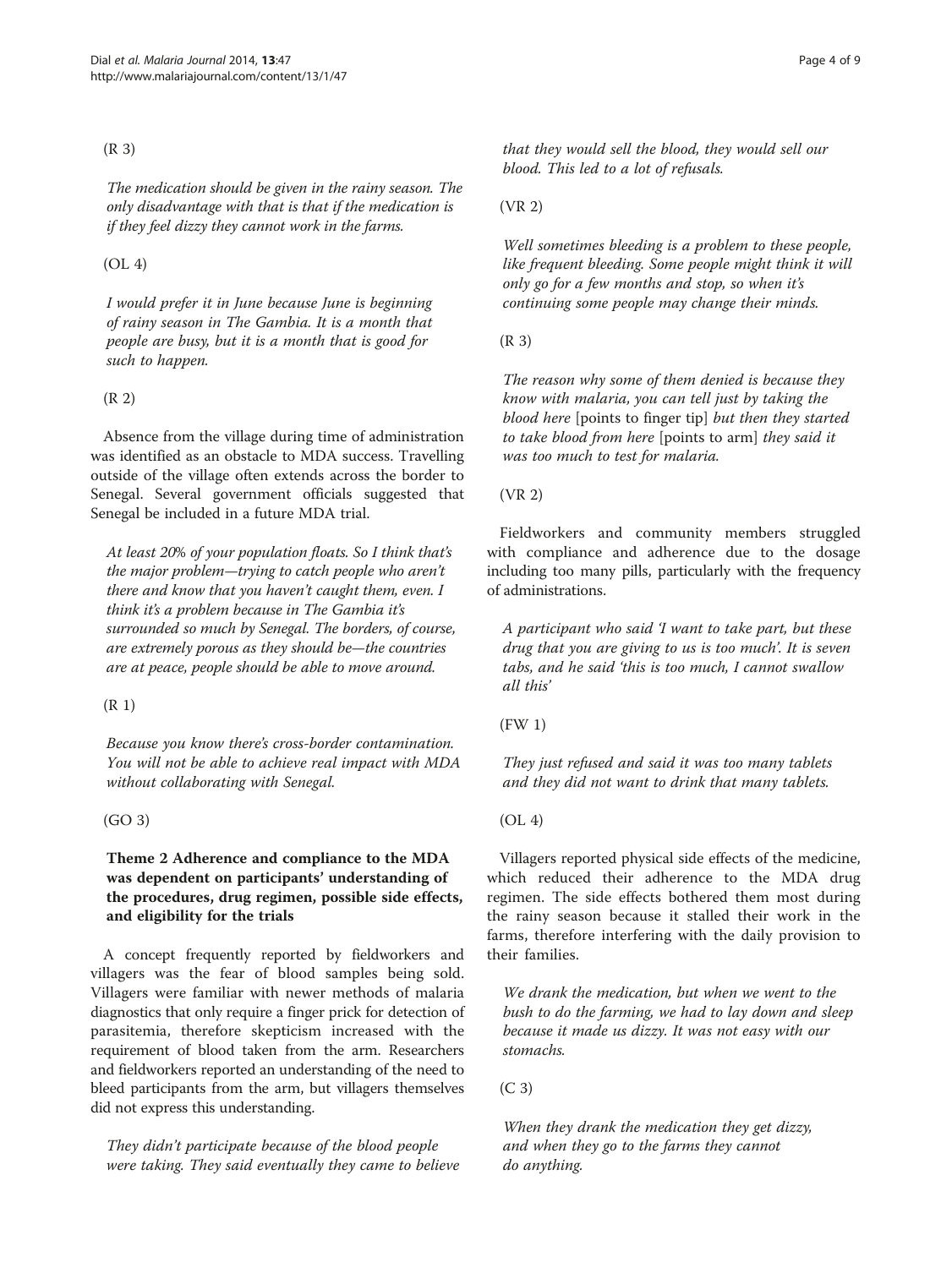#### (R 3)

The medication should be given in the rainy season. The only disadvantage with that is that if the medication is if they feel dizzy they cannot work in the farms.

## (OL 4)

I would prefer it in June because June is beginning of rainy season in The Gambia. It is a month that people are busy, but it is a month that is good for such to happen.

## (R 2)

Absence from the village during time of administration was identified as an obstacle to MDA success. Travelling outside of the village often extends across the border to Senegal. Several government officials suggested that Senegal be included in a future MDA trial.

At least 20% of your population floats. So I think that's the major problem—trying to catch people who aren't there and know that you haven't caught them, even. I think it's a problem because in The Gambia it's surrounded so much by Senegal. The borders, of course, are extremely porous as they should be—the countries are at peace, people should be able to move around.

## (R 1)

Because you know there's cross-border contamination. You will not be able to achieve real impact with MDA without collaborating with Senegal.

## (GO 3)

## Theme 2 Adherence and compliance to the MDA was dependent on participants' understanding of the procedures, drug regimen, possible side effects, and eligibility for the trials

A concept frequently reported by fieldworkers and villagers was the fear of blood samples being sold. Villagers were familiar with newer methods of malaria diagnostics that only require a finger prick for detection of parasitemia, therefore skepticism increased with the requirement of blood taken from the arm. Researchers and fieldworkers reported an understanding of the need to bleed participants from the arm, but villagers themselves did not express this understanding.

They didn't participate because of the blood people were taking. They said eventually they came to believe that they would sell the blood, they would sell our blood. This led to a lot of refusals.

## (VR 2)

Well sometimes bleeding is a problem to these people, like frequent bleeding. Some people might think it will only go for a few months and stop, so when it's continuing some people may change their minds.

## (R 3)

The reason why some of them denied is because they know with malaria, you can tell just by taking the blood here [points to finger tip] but then they started to take blood from here [points to arm] they said it was too much to test for malaria.

(VR 2)

Fieldworkers and community members struggled with compliance and adherence due to the dosage including too many pills, particularly with the frequency of administrations.

A participant who said 'I want to take part, but these drug that you are giving to us is too much'. It is seven tabs, and he said 'this is too much, I cannot swallow all this'

(FW 1)

They just refused and said it was too many tablets and they did not want to drink that many tablets.

(OL 4)

Villagers reported physical side effects of the medicine, which reduced their adherence to the MDA drug regimen. The side effects bothered them most during the rainy season because it stalled their work in the farms, therefore interfering with the daily provision to their families.

We drank the medication, but when we went to the bush to do the farming, we had to lay down and sleep because it made us dizzy. It was not easy with our stomachs.

(C 3)

When they drank the medication they get dizzy, and when they go to the farms they cannot do anything.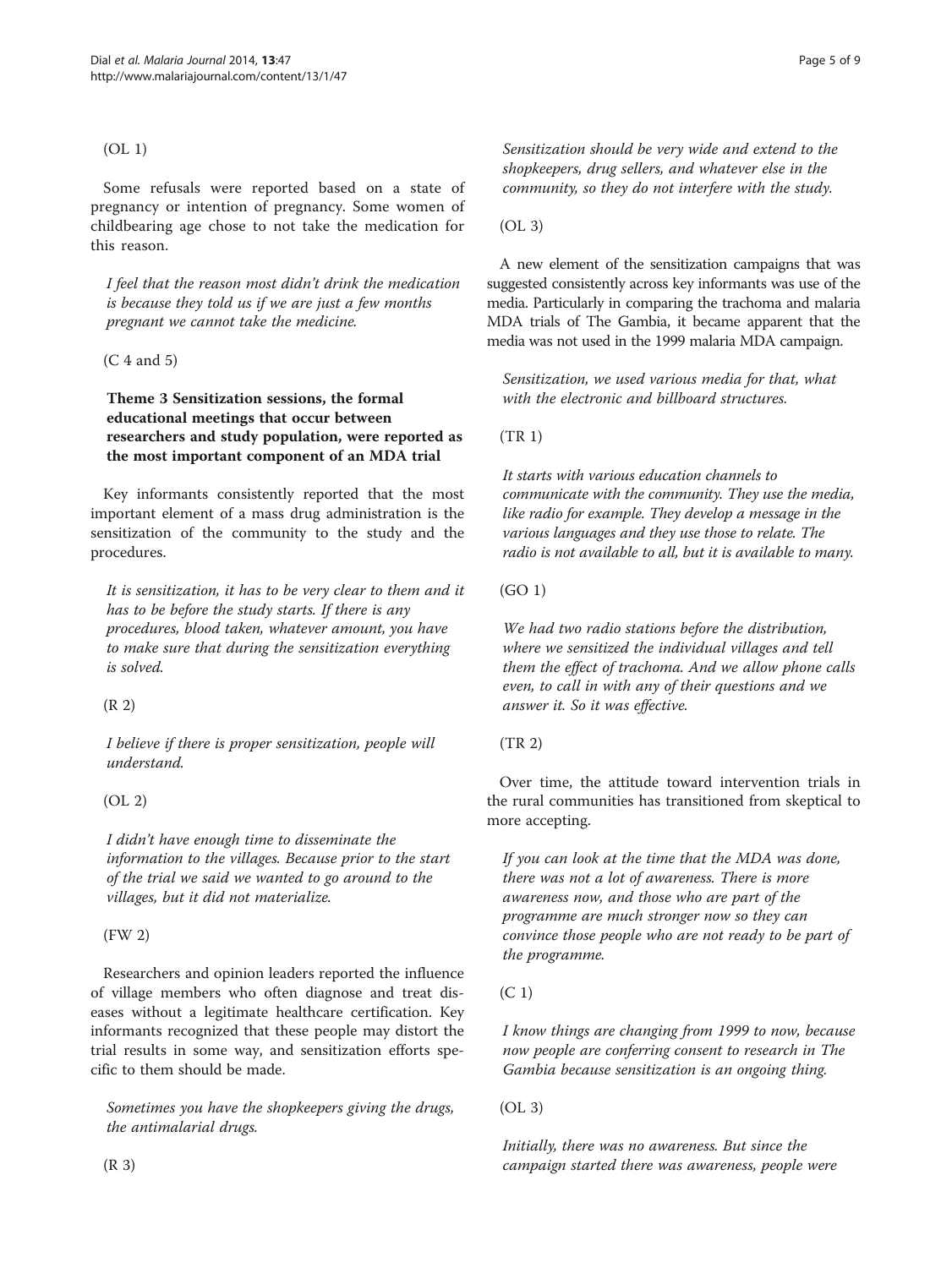#### (OL 1)

Some refusals were reported based on a state of pregnancy or intention of pregnancy. Some women of childbearing age chose to not take the medication for this reason.

I feel that the reason most didn't drink the medication is because they told us if we are just a few months pregnant we cannot take the medicine.

(C 4 and 5)

## Theme 3 Sensitization sessions, the formal educational meetings that occur between researchers and study population, were reported as the most important component of an MDA trial

Key informants consistently reported that the most important element of a mass drug administration is the sensitization of the community to the study and the procedures.

It is sensitization, it has to be very clear to them and it has to be before the study starts. If there is any procedures, blood taken, whatever amount, you have to make sure that during the sensitization everything is solved.

(R 2)

I believe if there is proper sensitization, people will understand.

(OL 2)

I didn't have enough time to disseminate the information to the villages. Because prior to the start of the trial we said we wanted to go around to the villages, but it did not materialize.

(FW 2)

Researchers and opinion leaders reported the influence of village members who often diagnose and treat diseases without a legitimate healthcare certification. Key informants recognized that these people may distort the trial results in some way, and sensitization efforts specific to them should be made.

Sometimes you have the shopkeepers giving the drugs, the antimalarial drugs.

Sensitization should be very wide and extend to the shopkeepers, drug sellers, and whatever else in the community, so they do not interfere with the study.

(OL 3)

A new element of the sensitization campaigns that was suggested consistently across key informants was use of the media. Particularly in comparing the trachoma and malaria MDA trials of The Gambia, it became apparent that the media was not used in the 1999 malaria MDA campaign.

Sensitization, we used various media for that, what with the electronic and billboard structures.

(TR 1)

It starts with various education channels to communicate with the community. They use the media, like radio for example. They develop a message in the various languages and they use those to relate. The radio is not available to all, but it is available to many.

(GO 1)

We had two radio stations before the distribution, where we sensitized the individual villages and tell them the effect of trachoma. And we allow phone calls even, to call in with any of their questions and we answer it. So it was effective.

(TR 2)

Over time, the attitude toward intervention trials in the rural communities has transitioned from skeptical to more accepting.

If you can look at the time that the MDA was done, there was not a lot of awareness. There is more awareness now, and those who are part of the programme are much stronger now so they can convince those people who are not ready to be part of the programme.

(C 1)

I know things are changing from 1999 to now, because now people are conferring consent to research in The Gambia because sensitization is an ongoing thing.

(OL 3)

Initially, there was no awareness. But since the campaign started there was awareness, people were

(R 3)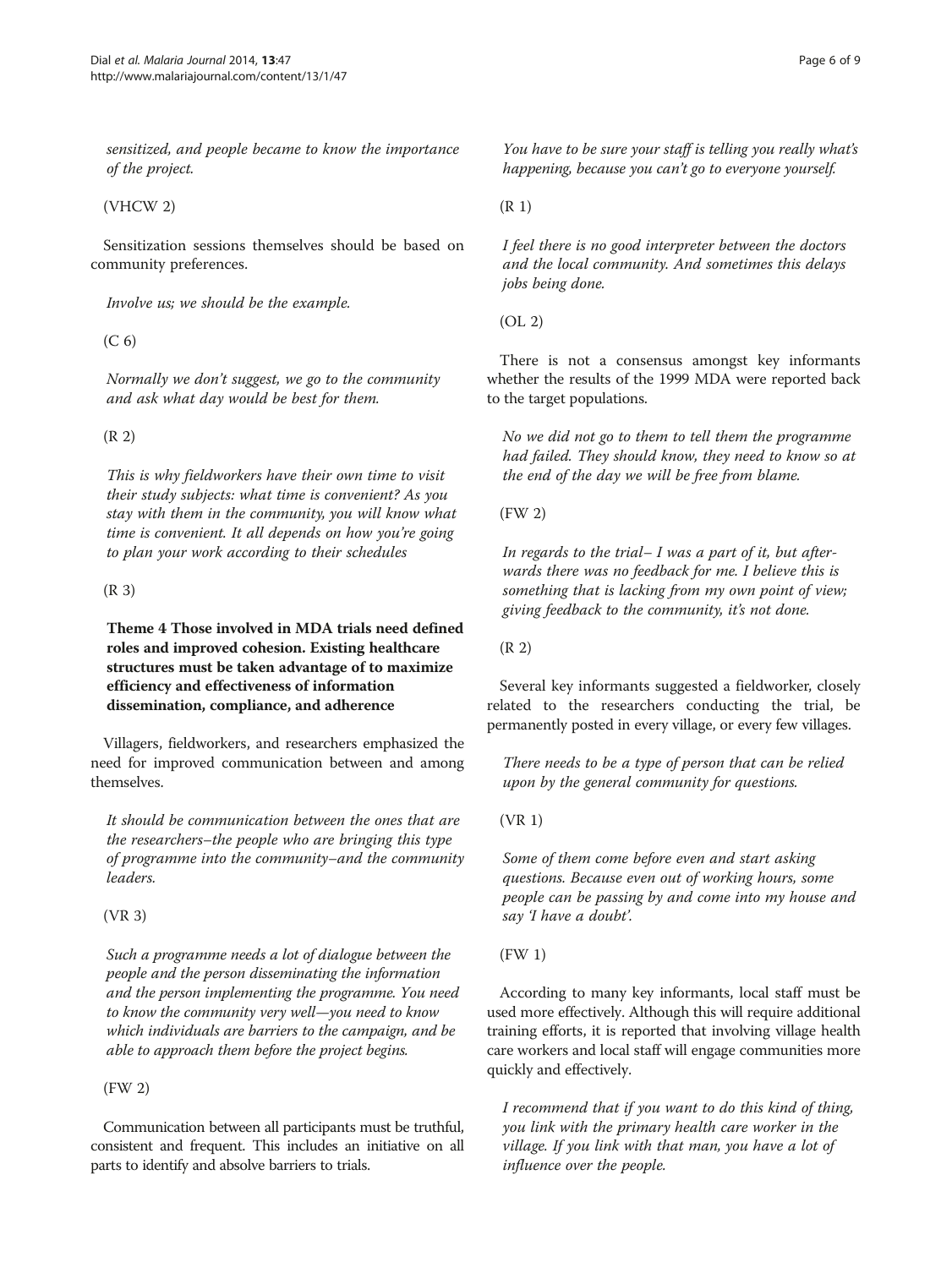sensitized, and people became to know the importance of the project.

#### (VHCW 2)

Sensitization sessions themselves should be based on community preferences.

Involve us; we should be the example.

(C 6)

Normally we don't suggest, we go to the community and ask what day would be best for them.

#### (R 2)

This is why fieldworkers have their own time to visit their study subjects: what time is convenient? As you stay with them in the community, you will know what time is convenient. It all depends on how you're going to plan your work according to their schedules

(R 3)

Theme 4 Those involved in MDA trials need defined roles and improved cohesion. Existing healthcare structures must be taken advantage of to maximize efficiency and effectiveness of information dissemination, compliance, and adherence

Villagers, fieldworkers, and researchers emphasized the need for improved communication between and among themselves.

It should be communication between the ones that are the researchers–the people who are bringing this type of programme into the community–and the community leaders.

## (VR 3)

Such a programme needs a lot of dialogue between the people and the person disseminating the information and the person implementing the programme. You need to know the community very well—you need to know which individuals are barriers to the campaign, and be able to approach them before the project begins.

(FW 2)

Communication between all participants must be truthful, consistent and frequent. This includes an initiative on all parts to identify and absolve barriers to trials.

You have to be sure your staff is telling you really what's happening, because you can't go to everyone yourself.

(R 1)

I feel there is no good interpreter between the doctors and the local community. And sometimes this delays jobs being done.

(OL 2)

There is not a consensus amongst key informants whether the results of the 1999 MDA were reported back to the target populations.

No we did not go to them to tell them the programme had failed. They should know, they need to know so at the end of the day we will be free from blame.

(FW 2)

In regards to the trial–  $I$  was a part of it, but afterwards there was no feedback for me. I believe this is something that is lacking from my own point of view; giving feedback to the community, it's not done.

(R 2)

Several key informants suggested a fieldworker, closely related to the researchers conducting the trial, be permanently posted in every village, or every few villages.

There needs to be a type of person that can be relied upon by the general community for questions.

(VR 1)

Some of them come before even and start asking questions. Because even out of working hours, some people can be passing by and come into my house and say 'I have a doubt'.

(FW 1)

According to many key informants, local staff must be used more effectively. Although this will require additional training efforts, it is reported that involving village health care workers and local staff will engage communities more quickly and effectively.

I recommend that if you want to do this kind of thing, you link with the primary health care worker in the village. If you link with that man, you have a lot of influence over the people.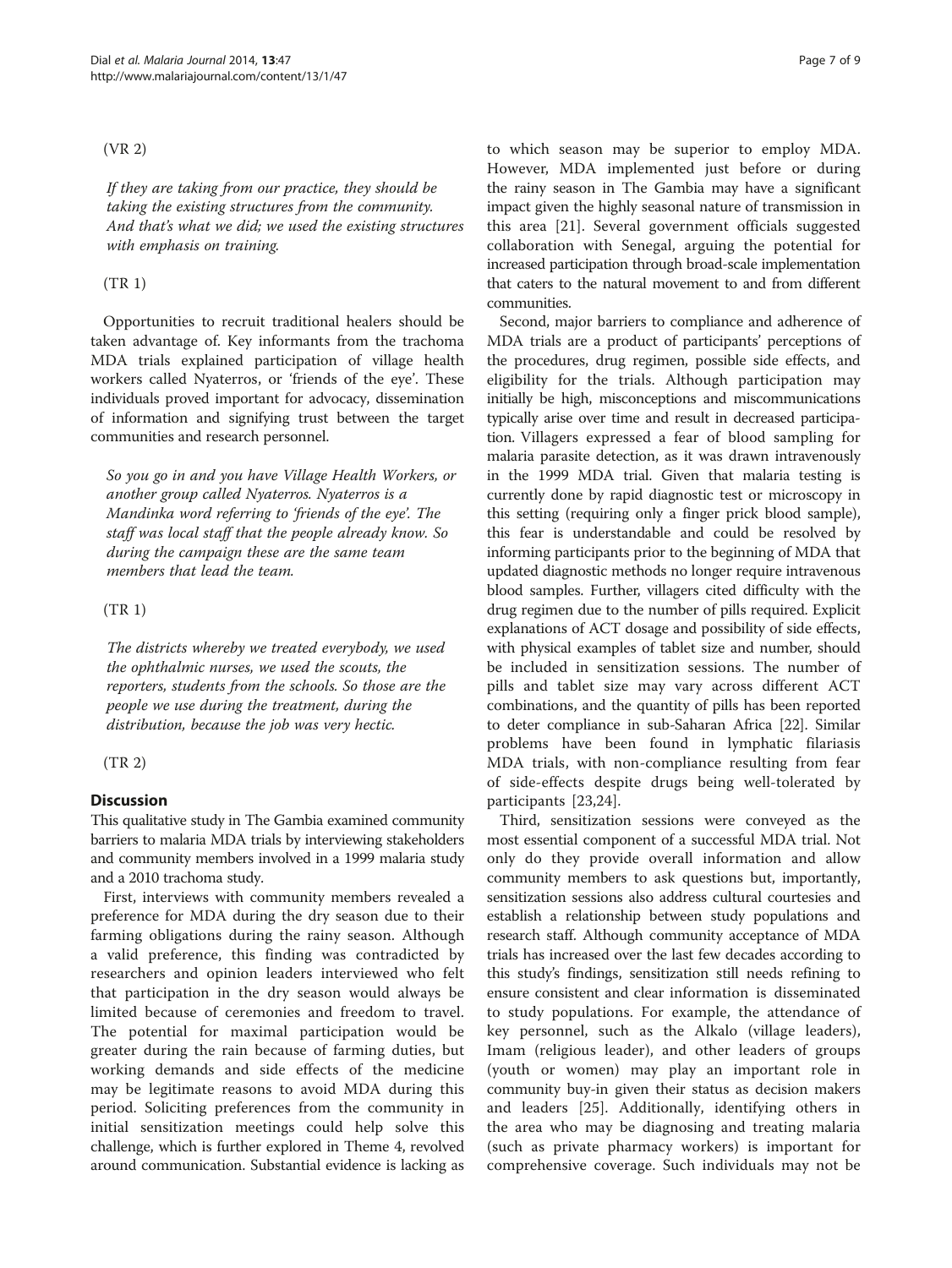#### (VR 2)

If they are taking from our practice, they should be taking the existing structures from the community. And that's what we did; we used the existing structures with emphasis on training.

#### (TR 1)

Opportunities to recruit traditional healers should be taken advantage of. Key informants from the trachoma MDA trials explained participation of village health workers called Nyaterros, or 'friends of the eye'. These individuals proved important for advocacy, dissemination of information and signifying trust between the target communities and research personnel.

So you go in and you have Village Health Workers, or another group called Nyaterros. Nyaterros is a Mandinka word referring to 'friends of the eye'. The staff was local staff that the people already know. So during the campaign these are the same team members that lead the team.

#### (TR 1)

The districts whereby we treated everybody, we used the ophthalmic nurses, we used the scouts, the reporters, students from the schools. So those are the people we use during the treatment, during the distribution, because the job was very hectic.

#### (TR 2)

## **Discussion**

This qualitative study in The Gambia examined community barriers to malaria MDA trials by interviewing stakeholders and community members involved in a 1999 malaria study and a 2010 trachoma study.

First, interviews with community members revealed a preference for MDA during the dry season due to their farming obligations during the rainy season. Although a valid preference, this finding was contradicted by researchers and opinion leaders interviewed who felt that participation in the dry season would always be limited because of ceremonies and freedom to travel. The potential for maximal participation would be greater during the rain because of farming duties, but working demands and side effects of the medicine may be legitimate reasons to avoid MDA during this period. Soliciting preferences from the community in initial sensitization meetings could help solve this challenge, which is further explored in Theme 4, revolved around communication. Substantial evidence is lacking as

to which season may be superior to employ MDA. However, MDA implemented just before or during the rainy season in The Gambia may have a significant impact given the highly seasonal nature of transmission in this area [[21\]](#page-8-0). Several government officials suggested collaboration with Senegal, arguing the potential for increased participation through broad-scale implementation that caters to the natural movement to and from different communities.

Second, major barriers to compliance and adherence of MDA trials are a product of participants' perceptions of the procedures, drug regimen, possible side effects, and eligibility for the trials. Although participation may initially be high, misconceptions and miscommunications typically arise over time and result in decreased participation. Villagers expressed a fear of blood sampling for malaria parasite detection, as it was drawn intravenously in the 1999 MDA trial. Given that malaria testing is currently done by rapid diagnostic test or microscopy in this setting (requiring only a finger prick blood sample), this fear is understandable and could be resolved by informing participants prior to the beginning of MDA that updated diagnostic methods no longer require intravenous blood samples. Further, villagers cited difficulty with the drug regimen due to the number of pills required. Explicit explanations of ACT dosage and possibility of side effects, with physical examples of tablet size and number, should be included in sensitization sessions. The number of pills and tablet size may vary across different ACT combinations, and the quantity of pills has been reported to deter compliance in sub-Saharan Africa [[22](#page-8-0)]. Similar problems have been found in lymphatic filariasis MDA trials, with non-compliance resulting from fear of side-effects despite drugs being well-tolerated by participants [[23,24](#page-8-0)].

Third, sensitization sessions were conveyed as the most essential component of a successful MDA trial. Not only do they provide overall information and allow community members to ask questions but, importantly, sensitization sessions also address cultural courtesies and establish a relationship between study populations and research staff. Although community acceptance of MDA trials has increased over the last few decades according to this study's findings, sensitization still needs refining to ensure consistent and clear information is disseminated to study populations. For example, the attendance of key personnel, such as the Alkalo (village leaders), Imam (religious leader), and other leaders of groups (youth or women) may play an important role in community buy-in given their status as decision makers and leaders [\[25](#page-8-0)]. Additionally, identifying others in the area who may be diagnosing and treating malaria (such as private pharmacy workers) is important for comprehensive coverage. Such individuals may not be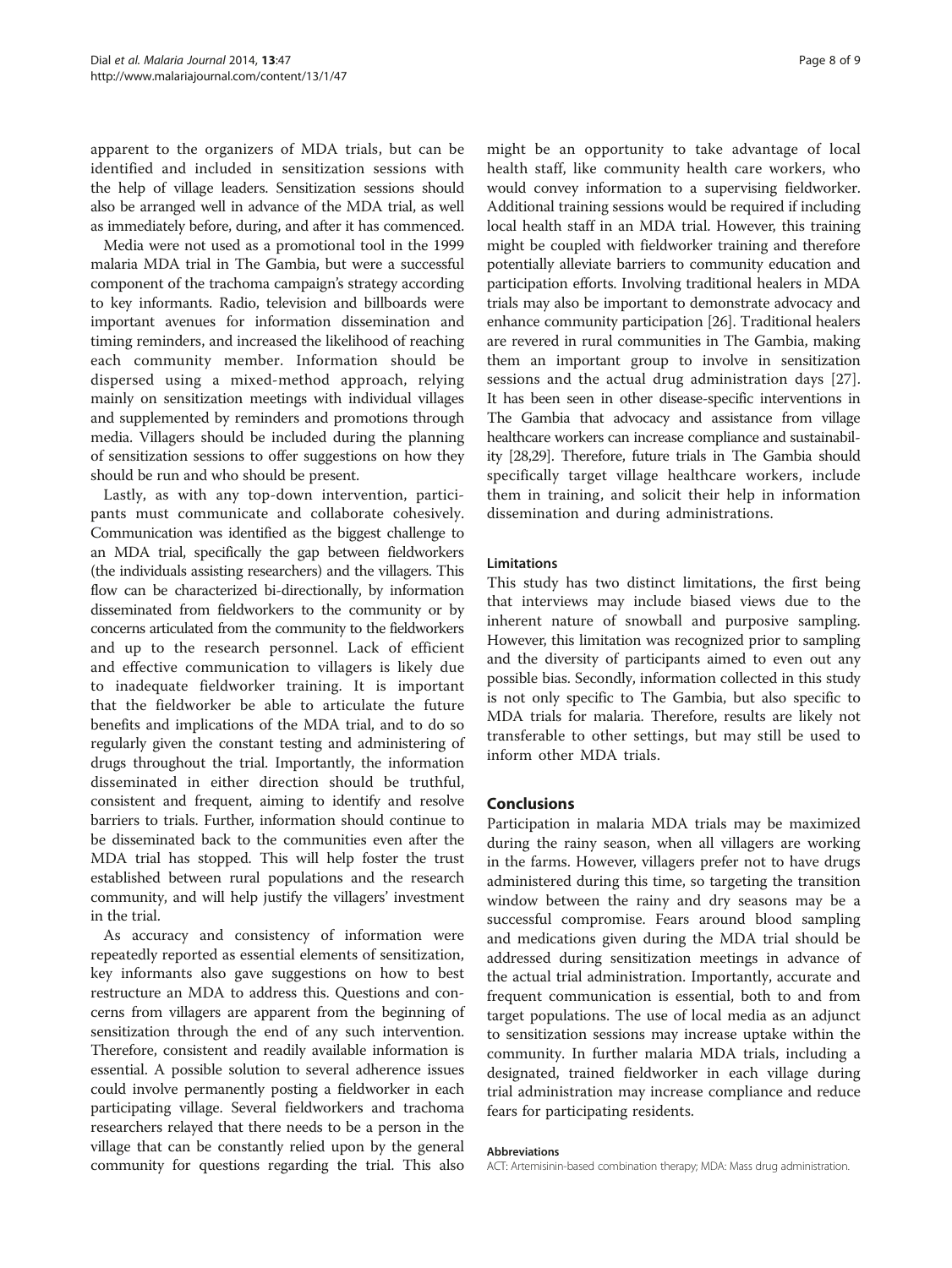apparent to the organizers of MDA trials, but can be identified and included in sensitization sessions with the help of village leaders. Sensitization sessions should also be arranged well in advance of the MDA trial, as well as immediately before, during, and after it has commenced.

Media were not used as a promotional tool in the 1999 malaria MDA trial in The Gambia, but were a successful component of the trachoma campaign's strategy according to key informants. Radio, television and billboards were important avenues for information dissemination and timing reminders, and increased the likelihood of reaching each community member. Information should be dispersed using a mixed-method approach, relying mainly on sensitization meetings with individual villages and supplemented by reminders and promotions through media. Villagers should be included during the planning of sensitization sessions to offer suggestions on how they should be run and who should be present.

Lastly, as with any top-down intervention, participants must communicate and collaborate cohesively. Communication was identified as the biggest challenge to an MDA trial, specifically the gap between fieldworkers (the individuals assisting researchers) and the villagers. This flow can be characterized bi-directionally, by information disseminated from fieldworkers to the community or by concerns articulated from the community to the fieldworkers and up to the research personnel. Lack of efficient and effective communication to villagers is likely due to inadequate fieldworker training. It is important that the fieldworker be able to articulate the future benefits and implications of the MDA trial, and to do so regularly given the constant testing and administering of drugs throughout the trial. Importantly, the information disseminated in either direction should be truthful, consistent and frequent, aiming to identify and resolve barriers to trials. Further, information should continue to be disseminated back to the communities even after the MDA trial has stopped. This will help foster the trust established between rural populations and the research community, and will help justify the villagers' investment in the trial.

As accuracy and consistency of information were repeatedly reported as essential elements of sensitization, key informants also gave suggestions on how to best restructure an MDA to address this. Questions and concerns from villagers are apparent from the beginning of sensitization through the end of any such intervention. Therefore, consistent and readily available information is essential. A possible solution to several adherence issues could involve permanently posting a fieldworker in each participating village. Several fieldworkers and trachoma researchers relayed that there needs to be a person in the village that can be constantly relied upon by the general community for questions regarding the trial. This also

might be an opportunity to take advantage of local health staff, like community health care workers, who would convey information to a supervising fieldworker. Additional training sessions would be required if including local health staff in an MDA trial. However, this training might be coupled with fieldworker training and therefore potentially alleviate barriers to community education and participation efforts. Involving traditional healers in MDA trials may also be important to demonstrate advocacy and enhance community participation [[26](#page-8-0)]. Traditional healers are revered in rural communities in The Gambia, making them an important group to involve in sensitization sessions and the actual drug administration days [\[27](#page-8-0)]. It has been seen in other disease-specific interventions in The Gambia that advocacy and assistance from village healthcare workers can increase compliance and sustainability [\[28,29\]](#page-8-0). Therefore, future trials in The Gambia should specifically target village healthcare workers, include them in training, and solicit their help in information dissemination and during administrations.

#### Limitations

This study has two distinct limitations, the first being that interviews may include biased views due to the inherent nature of snowball and purposive sampling. However, this limitation was recognized prior to sampling and the diversity of participants aimed to even out any possible bias. Secondly, information collected in this study is not only specific to The Gambia, but also specific to MDA trials for malaria. Therefore, results are likely not transferable to other settings, but may still be used to inform other MDA trials.

#### Conclusions

Participation in malaria MDA trials may be maximized during the rainy season, when all villagers are working in the farms. However, villagers prefer not to have drugs administered during this time, so targeting the transition window between the rainy and dry seasons may be a successful compromise. Fears around blood sampling and medications given during the MDA trial should be addressed during sensitization meetings in advance of the actual trial administration. Importantly, accurate and frequent communication is essential, both to and from target populations. The use of local media as an adjunct to sensitization sessions may increase uptake within the community. In further malaria MDA trials, including a designated, trained fieldworker in each village during trial administration may increase compliance and reduce fears for participating residents.

#### Abbreviations

ACT: Artemisinin-based combination therapy; MDA: Mass drug administration.